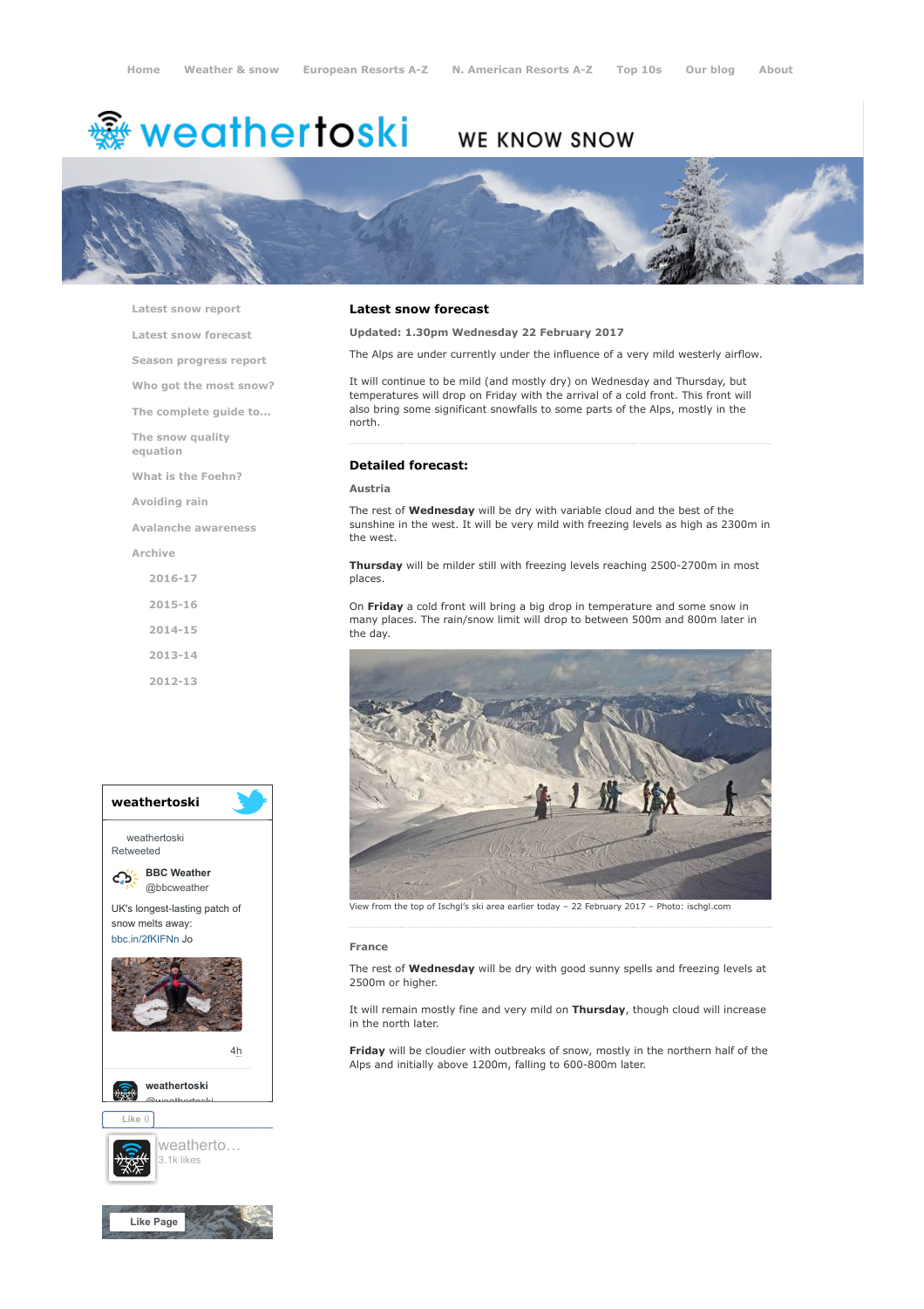# <del>鑾</del> weathertoski

# WE KNOW SNOW



[Latest snow report](https://www.weathertoski.co.uk/weather-snow/latest-snow-report/)

[Latest snow forecast](https://www.weathertoski.co.uk/weather-snow/latest-snow-forecast/)

[Season progress report](https://www.weathertoski.co.uk/weather-snow/season-progress-report/)

[Who got the most snow?](https://www.weathertoski.co.uk/weather-snow/who-got-the-most-snow/)

[The complete guide to...](https://www.weathertoski.co.uk/weather-snow/the-complete-guide-to/)

[The snow quality](https://www.weathertoski.co.uk/weather-snow/the-snow-quality-equation/)

[What is the Foehn?](https://www.weathertoski.co.uk/weather-snow/what-is-the-foehn/)

[Avoiding rain](https://www.weathertoski.co.uk/weather-snow/avoiding-rain/)

[Avalanche awareness](https://www.weathertoski.co.uk/weather-snow/avalanche-awareness/)

[Archive](https://www.weathertoski.co.uk/weather-snow/archive/)

equation

- [2016-17](https://www.weathertoski.co.uk/weather-snow/archive/2016-17/) [2015-16](https://www.weathertoski.co.uk/weather-snow/archive/2015-16/) [2014-15](https://www.weathertoski.co.uk/weather-snow/archive/2014-15/)
- [2013-14](https://www.weathertoski.co.uk/weather-snow/archive/2013-14/)
- [2012-13](https://www.weathertoski.co.uk/weather-snow/archive/2012-13/)



### Latest snow forecast

Updated: 1.30pm Wednesday 22 February 2017

The Alps are under currently under the influence of a very mild westerly airflow.

It will continue to be mild (and mostly dry) on Wednesday and Thursday, but temperatures will drop on Friday with the arrival of a cold front. This front will also bring some significant snowfalls to some parts of the Alps, mostly in the north.

# Detailed forecast:

#### Austria

The rest of **Wednesday** will be dry with variable cloud and the best of the sunshine in the west. It will be very mild with freezing levels as high as 2300m in the west.

Thursday will be milder still with freezing levels reaching 2500-2700m in most places.

On Friday a cold front will bring a big drop in temperature and some snow in many places. The rain/snow limit will drop to between 500m and 800m later in the day.



View from the top of Ischgl's ski area earlier today – 22 February 2017 – Photo: ischgl.com

#### France

The rest of **Wednesday** will be dry with good sunny spells and freezing levels at 2500m or higher.

It will remain mostly fine and very mild on Thursday, though cloud will increase in the north later.

Friday will be cloudier with outbreaks of snow, mostly in the northern half of the Alps and initially above 1200m, falling to 600-800m later.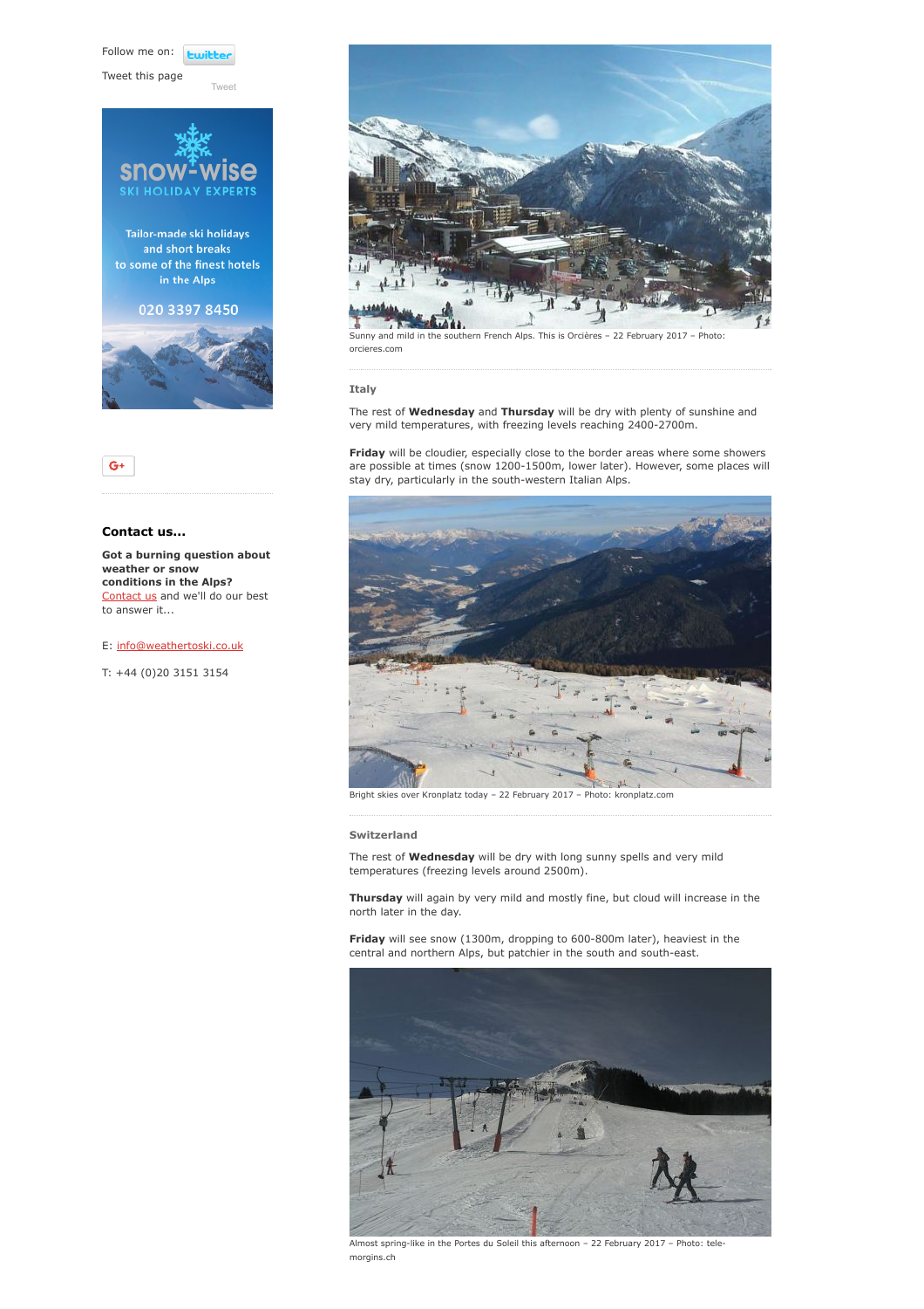Follow me on: **Luitt** 

[Tweet](https://twitter.com/intent/tweet?original_referer=https%3A%2F%2Fwww.weathertoski.co.uk%2Fweather-snow%2Farchive%2Fsnow-forecast-22-02-2017%2F&ref_src=twsrc%5Etfw&text=Weather%20to%20ski%20-%20Snow%20forecast%20-%2022%20February%202017&tw_p=tweetbutton&url=https%3A%2F%2Fwww.weathertoski.co.uk%2Fweather-snow%2Farchive%2Fsnow-forecast-22-02-2017%2F)

Tweet this page





# Contact us...

Got a burning question about weather or snow conditions in the Alps? [Contact us](https://www.weathertoski.co.uk/about-1/contact-us/) and we'll do our best to answer it...

## E: [info@weathertoski.co.uk](mailto:fraser@weathertoski.co.uk)

T: +44 (0)20 3151 3154



Sunny and mild in the southern French Alps. This is Orcières – 22 February 2017 – Photo: orcieres.com

### Italy

The rest of **Wednesday** and Thursday will be dry with plenty of sunshine and very mild temperatures, with freezing levels reaching 2400-2700m.

Friday will be cloudier, especially close to the border areas where some showers are possible at times (snow 1200-1500m, lower later). However, some places will stay dry, particularly in the south-western Italian Alps.



Bright skies over Kronplatz today – 22 February 2017 – Photo: kronplatz.com

#### Switzerland

The rest of **Wednesday** will be dry with long sunny spells and very mild temperatures (freezing levels around 2500m).

Thursday will again by very mild and mostly fine, but cloud will increase in the north later in the day.

Friday will see snow (1300m, dropping to 600-800m later), heaviest in the central and northern Alps, but patchier in the south and south-east.



Almost spring-like in the Portes du Soleil this afternoon – 22 February 2017 – Photo: telemorgins.ch